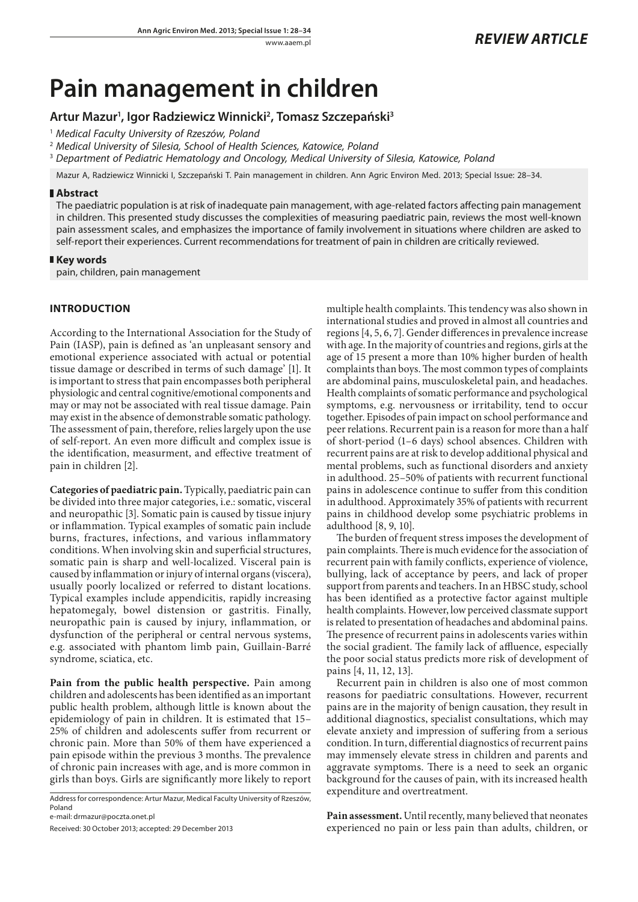# **Pain management in children**

# **Artur Mazur1 , Igor Radziewicz Winnicki2 , Tomasz Szczepański3**

1  *Medical Faculty University of Rzeszów, Poland*

2  *Medical University of Silesia, School of Health Sciences, Katowice, Poland*

3  *Department of Pediatric Hematology and Oncology, Medical University of Silesia, Katowice, Poland*

Mazur A, Radziewicz Winnicki I, Szczepański T. Pain management in children. Ann Agric Environ Med. 2013; Special Issue: 28–34.

## **Abstract**

The paediatric population is at risk of inadequate pain management, with age-related factors affecting pain management in children. This presented study discusses the complexities of measuring paediatric pain, reviews the most well-known pain assessment scales, and emphasizes the importance of family involvement in situations where children are asked to self-report their experiences. Current recommendations for treatment of pain in children are critically reviewed.

## **Key words**

pain, children, pain management

# **INTRODUCTION**

According to the International Association for the Study of Pain (IASP), pain is defined as 'an unpleasant sensory and emotional experience associated with actual or potential tissue damage or described in terms of such damage' [1]. It is important to stress that pain encompasses both peripheral physiologic and central cognitive/emotional components and may or may not be associated with real tissue damage. Pain may exist in the absence of demonstrable somatic pathology. The assessment of pain, therefore, relies largely upon the use of self-report. An even more difficult and complex issue is the identification, measurment, and effective treatment of pain in children [2].

**Categories of paediatric pain.** Typically, paediatric pain can be divided into three major categories, i.e.: somatic, visceral and neuropathic [3]. Somatic pain is caused by tissue injury or inflammation. Typical examples of somatic pain include burns, fractures, infections, and various inflammatory conditions. When involving skin and superficial structures, somatic pain is sharp and well-localized. Visceral pain is caused by inflammation or injury of internal organs (viscera), usually poorly localized or referred to distant locations. Typical examples include appendicitis, rapidly increasing hepatomegaly, bowel distension or gastritis. Finally, neuropathic pain is caused by injury, inflammation, or dysfunction of the peripheral or central nervous systems, e.g. associated with phantom limb pain, Guillain-Barré syndrome, sciatica, etc.

**Pain from the public health perspective.** Pain among children and adolescents has been identified as an important public health problem, although little is known about the epidemiology of pain in children. It is estimated that 15– 25% of children and adolescents suffer from recurrent or chronic pain. More than 50% of them have experienced a pain episode within the previous 3 months. The prevalence of chronic pain increases with age, and is more common in girls than boys. Girls are significantly more likely to report

Address for correspondence: Artur Mazur, Medical Faculty University of Rzeszów, Poland

e-mail: drmazur@poczta.onet.pl

Received: 30 October 2013; accepted: 29 December 2013

multiple health complaints. This tendency was also shown in international studies and proved in almost all countries and regions [4, 5, 6, 7]. Gender differences in prevalence increase with age. In the majority of countries and regions, girls at the age of 15 present a more than 10% higher burden of health complaints than boys. The most common types of complaints are abdominal pains, musculoskeletal pain, and headaches. Health complaints of somatic performance and psychological symptoms, e.g. nervousness or irritability, tend to occur together. Episodes of pain impact on school performance and peer relations. Recurrent pain is a reason for more than a half of short-period (1–6 days) school absences. Children with recurrent pains are at risk to develop additional physical and mental problems, such as functional disorders and anxiety in adulthood. 25–50% of patients with recurrent functional pains in adolescence continue to suffer from this condition in adulthood. Approximately 35% of patients with recurrent pains in childhood develop some psychiatric problems in adulthood [8, 9, 10].

The burden of frequent stress imposes the development of pain complaints. There is much evidence for the association of recurrent pain with family conflicts, experience of violence, bullying, lack of acceptance by peers, and lack of proper support from parents and teachers. In an HBSC study, school has been identified as a protective factor against multiple health complaints. However, low perceived classmate support is related to presentation of headaches and abdominal pains. The presence of recurrent pains in adolescents varies within the social gradient. The family lack of affluence, especially the poor social status predicts more risk of development of pains [4, 11, 12, 13].

Recurrent pain in children is also one of most common reasons for paediatric consultations. However, recurrent pains are in the majority of benign causation, they result in additional diagnostics, specialist consultations, which may elevate anxiety and impression of suffering from a serious condition. In turn, differential diagnostics of recurrent pains may immensely elevate stress in children and parents and aggravate symptoms. There is a need to seek an organic background for the causes of pain, with its increased health expenditure and overtreatment.

**Pain assessment.** Until recently, many believed that neonates experienced no pain or less pain than adults, children, or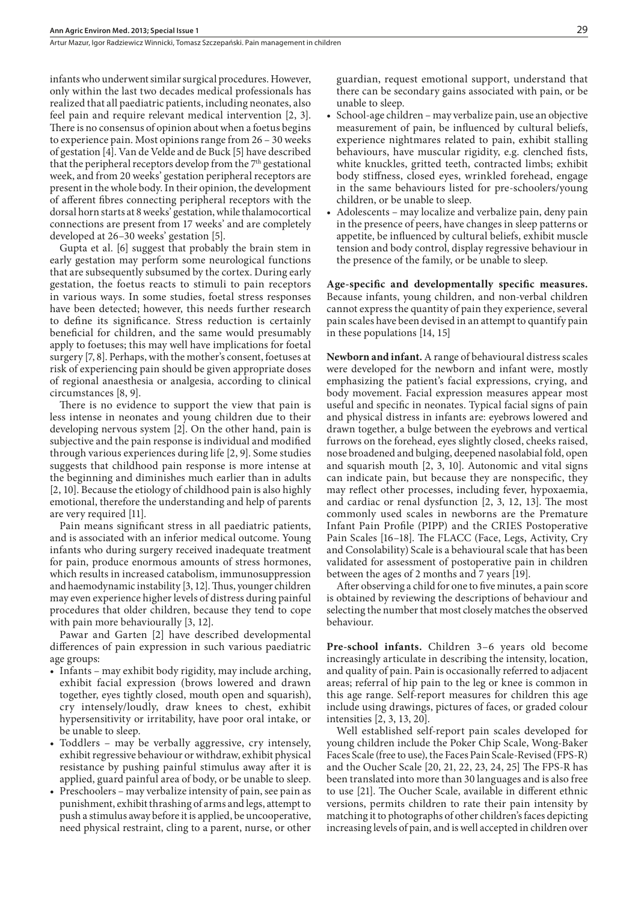infants who underwent similar surgical procedures. However, only within the last two decades medical professionals has realized that all paediatric patients, including neonates, also feel pain and require relevant medical intervention [2, 3]. There is no consensus of opinion about when a foetus begins to experience pain. Most opinions range from 26 – 30 weeks of gestation [4]. Van de Velde and de Buck [5] have described that the peripheral receptors develop from the  $7<sup>th</sup>$  gestational week, and from 20 weeks' gestation peripheral receptors are present in the whole body. In their opinion, the development of afferent fibres connecting peripheral receptors with the dorsal horn starts at 8 weeks' gestation, while thalamocortical connections are present from 17 weeks' and are completely developed at 26–30 weeks' gestation [5].

Gupta et al. [6] suggest that probably the brain stem in early gestation may perform some neurological functions that are subsequently subsumed by the cortex. During early gestation, the foetus reacts to stimuli to pain receptors in various ways. In some studies, foetal stress responses have been detected; however, this needs further research to define its significance. Stress reduction is certainly beneficial for children, and the same would presumably apply to foetuses; this may well have implications for foetal surgery [7, 8]. Perhaps, with the mother's consent, foetuses at risk of experiencing pain should be given appropriate doses of regional anaesthesia or analgesia, according to clinical circumstances [8, 9].

There is no evidence to support the view that pain is less intense in neonates and young children due to their developing nervous system [2]. On the other hand, pain is subjective and the pain response is individual and modified through various experiences during life [2, 9]. Some studies suggests that childhood pain response is more intense at the beginning and diminishes much earlier than in adults [2, 10]. Because the etiology of childhood pain is also highly emotional, therefore the understanding and help of parents are very required [11].

Pain means significant stress in all paediatric patients, and is associated with an inferior medical outcome. Young infants who during surgery received inadequate treatment for pain, produce enormous amounts of stress hormones, which results in increased catabolism, immunosuppression and haemodynamic instability [3, 12]. Thus, younger children may even experience higher levels of distress during painful procedures that older children, because they tend to cope with pain more behaviourally [3, 12].

Pawar and Garten [2] have described developmental differences of pain expression in such various paediatric age groups:

- • Infants may exhibit body rigidity, may include arching, exhibit facial expression (brows lowered and drawn together, eyes tightly closed, mouth open and squarish), cry intensely/loudly, draw knees to chest, exhibit hypersensitivity or irritability, have poor oral intake, or be unable to sleep.
- Toddlers may be verbally aggressive, cry intensely, exhibit regressive behaviour or withdraw, exhibit physical resistance by pushing painful stimulus away after it is applied, guard painful area of body, or be unable to sleep.
- Preschoolers may verbalize intensity of pain, see pain as punishment, exhibit thrashing of arms and legs, attempt to push a stimulus away before it is applied, be uncooperative, need physical restraint, cling to a parent, nurse, or other

guardian, request emotional support, understand that there can be secondary gains associated with pain, or be unable to sleep.

- • School-age children may verbalize pain, use an objective measurement of pain, be influenced by cultural beliefs, experience nightmares related to pain, exhibit stalling behaviours, have muscular rigidity, e.g. clenched fists, white knuckles, gritted teeth, contracted limbs; exhibit body stiffness, closed eyes, wrinkled forehead, engage in the same behaviours listed for pre-schoolers/young children, or be unable to sleep.
- Adolescents may localize and verbalize pain, deny pain in the presence of peers, have changes in sleep patterns or appetite, be influenced by cultural beliefs, exhibit muscle tension and body control, display regressive behaviour in the presence of the family, or be unable to sleep.

**Age-specific and developmentally specific measures.**  Because infants, young children, and non-verbal children cannot express the quantity of pain they experience, several pain scales have been devised in an attempt to quantify pain in these populations [14, 15]

**Newborn and infant.** A range of behavioural distress scales were developed for the newborn and infant were, mostly emphasizing the patient's facial expressions, crying, and body movement. Facial expression measures appear most useful and specific in neonates. Typical facial signs of pain and physical distress in infants are: eyebrows lowered and drawn together, a bulge between the eyebrows and vertical furrows on the forehead, eyes slightly closed, cheeks raised, nose broadened and bulging, deepened nasolabial fold, open and squarish mouth [2, 3, 10]. Autonomic and vital signs can indicate pain, but because they are nonspecific, they may reflect other processes, including fever, hypoxaemia, and cardiac or renal dysfunction [2, 3, 12, 13]. The most commonly used scales in newborns are the Premature Infant Pain Profile (PIPP) and the CRIES Postoperative Pain Scales [16–18]. The FLACC (Face, Legs, Activity, Cry and Consolability) Scale is a behavioural scale that has been validated for assessment of postoperative pain in children between the ages of 2 months and 7 years [19].

After observing a child for one to five minutes, a pain score is obtained by reviewing the descriptions of behaviour and selecting the number that most closely matches the observed behaviour.

**Pre-school infants.** Children 3–6 years old become increasingly articulate in describing the intensity, location, and quality of pain. Pain is occasionally referred to adjacent areas; referral of hip pain to the leg or knee is common in this age range. Self-report measures for children this age include using drawings, pictures of faces, or graded colour intensities [2, 3, 13, 20].

Well established self-report pain scales developed for young children include the Poker Chip Scale, Wong-Baker Faces Scale (free to use), the Faces Pain Scale-Revised (FPS-R) and the Oucher Scale [20, 21, 22, 23, 24, 25] The FPS-R has been translated into more than 30 languages and is also free to use [21]. The Oucher Scale, available in different ethnic versions, permits children to rate their pain intensity by matching it to photographs of other children's faces depicting increasing levels of pain, and is well accepted in children over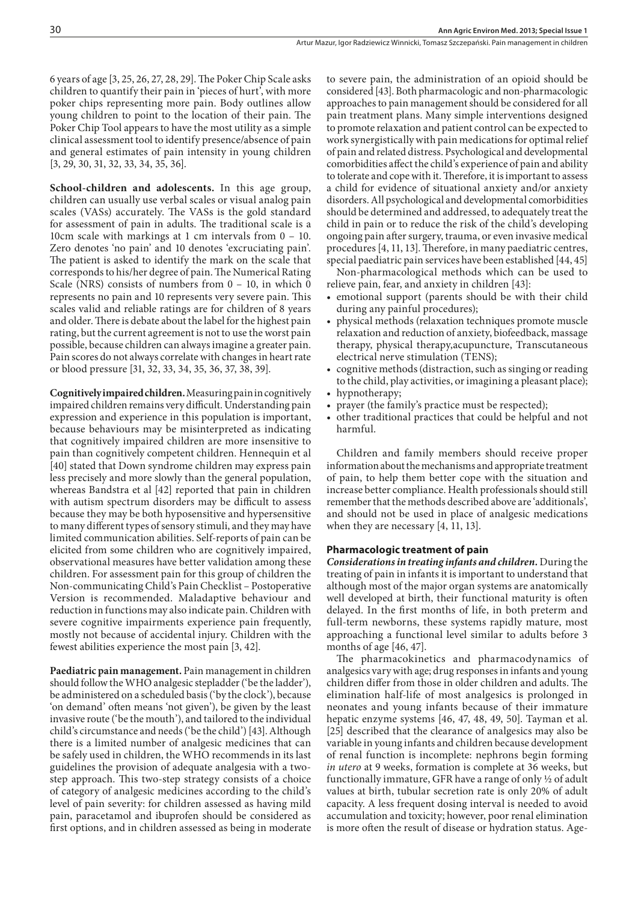6 years of age [3, 25, 26, 27, 28, 29]. The Poker Chip Scale asks children to quantify their pain in 'pieces of hurt', with more poker chips representing more pain. Body outlines allow young children to point to the location of their pain. The Poker Chip Tool appears to have the most utility as a simple clinical assessment tool to identify presence/absence of pain and general estimates of pain intensity in young children [3, 29, 30, 31, 32, 33, 34, 35, 36].

**School-children and adolescents.** In this age group, children can usually use verbal scales or visual analog pain scales (VASs) accurately. The VASs is the gold standard for assessment of pain in adults. The traditional scale is a 10cm scale with markings at 1 cm intervals from 0 - 10. Zero denotes 'no pain' and 10 denotes 'excruciating pain'. The patient is asked to identify the mark on the scale that corresponds to his/her degree of pain. The Numerical Rating Scale (NRS) consists of numbers from 0 – 10, in which 0 represents no pain and 10 represents very severe pain. This scales valid and reliable ratings are for children of 8 years and older. There is debate about the label for the highest pain rating, but the current agreement is not to use the worst pain possible, because children can always imagine a greater pain. Pain scores do not always correlate with changes in heart rate or blood pressure [31, 32, 33, 34, 35, 36, 37, 38, 39].

**Cognitively impaired children.** Measuring pain in cognitively impaired children remains very difficult. Understanding pain expression and experience in this population is important, because behaviours may be misinterpreted as indicating that cognitively impaired children are more insensitive to pain than cognitively competent children. Hennequin et al [40] stated that Down syndrome children may express pain less precisely and more slowly than the general population, whereas Bandstra et al [42] reported that pain in children with autism spectrum disorders may be difficult to assess because they may be both hyposensitive and hypersensitive to many different types of sensory stimuli, and they may have limited communication abilities. Self-reports of pain can be elicited from some children who are cognitively impaired, observational measures have better validation among these children. For assessment pain for this group of children the Non-communicating Child's Pain Checklist – Postoperative Version is recommended. Maladaptive behaviour and reduction in functions may also indicate pain. Children with severe cognitive impairments experience pain frequently, mostly not because of accidental injury. Children with the fewest abilities experience the most pain [3, 42].

**Paediatric pain management.** Pain management in children should follow the WHO analgesic stepladder ('be the ladder'), be administered on a scheduled basis ('by the clock'), because 'on demand' often means 'not given'), be given by the least invasive route ('be the mouth'), and tailored to the individual child's circumstance and needs ('be the child') [43]. Although there is a limited number of analgesic medicines that can be safely used in children, the WHO recommends in its last guidelines the provision of adequate analgesia with a twostep approach. This two-step strategy consists of a choice of category of analgesic medicines according to the child's level of pain severity: for children assessed as having mild pain, paracetamol and ibuprofen should be considered as first options, and in children assessed as being in moderate

to severe pain, the administration of an opioid should be considered [43]. Both pharmacologic and non-pharmacologic approaches to pain management should be considered for all pain treatment plans. Many simple interventions designed to promote relaxation and patient control can be expected to work synergistically with pain medications for optimal relief of pain and related distress. Psychological and developmental comorbidities affect the child's experience of pain and ability to tolerate and cope with it. Therefore, it is important to assess a child for evidence of situational anxiety and/or anxiety disorders. All psychological and developmental comorbidities should be determined and addressed, to adequately treat the child in pain or to reduce the risk of the child's developing ongoing pain after surgery, trauma, or even invasive medical procedures [4, 11, 13]. Therefore, in many paediatric centres, special paediatric pain services have been established [44, 45]

Non-pharmacological methods which can be used to relieve pain, fear, and anxiety in children [43]:

- emotional support (parents should be with their child during any painful procedures);
- physical methods (relaxation techniques promote muscle relaxation and reduction of anxiety, biofeedback, massage therapy, physical therapy,acupuncture, Transcutaneous electrical nerve stimulation (TENS);
- cognitive methods (distraction, such as singing or reading to the child, play activities, or imagining a pleasant place);
- hypnotherapy;
- prayer (the family's practice must be respected);
- • other traditional practices that could be helpful and not harmful.

Children and family members should receive proper information about the mechanisms and appropriate treatment of pain, to help them better cope with the situation and increase better compliance. Health professionals should still remember that the methods described above are 'additionals', and should not be used in place of analgesic medications when they are necessary [4, 11, 13].

## **Pharmacologic treatment of pain**

*Considerations in treating infants and children.* During the treating of pain in infants it is important to understand that although most of the major organ systems are anatomically well developed at birth, their functional maturity is often delayed. In the first months of life, in both preterm and full-term newborns, these systems rapidly mature, most approaching a functional level similar to adults before 3 months of age [46, 47].

The pharmacokinetics and pharmacodynamics of analgesics vary with age; drug responses in infants and young children differ from those in older children and adults. The elimination half-life of most analgesics is prolonged in neonates and young infants because of their immature hepatic enzyme systems [46, 47, 48, 49, 50]. Tayman et al. [25] described that the clearance of analgesics may also be variable in young infants and children because development of renal function is incomplete: nephrons begin forming *in utero* at 9 weeks, formation is complete at 36 weeks, but functionally immature, GFR have a range of only ½ of adult values at birth, tubular secretion rate is only 20% of adult capacity. A less frequent dosing interval is needed to avoid accumulation and toxicity; however, poor renal elimination is more often the result of disease or hydration status. Age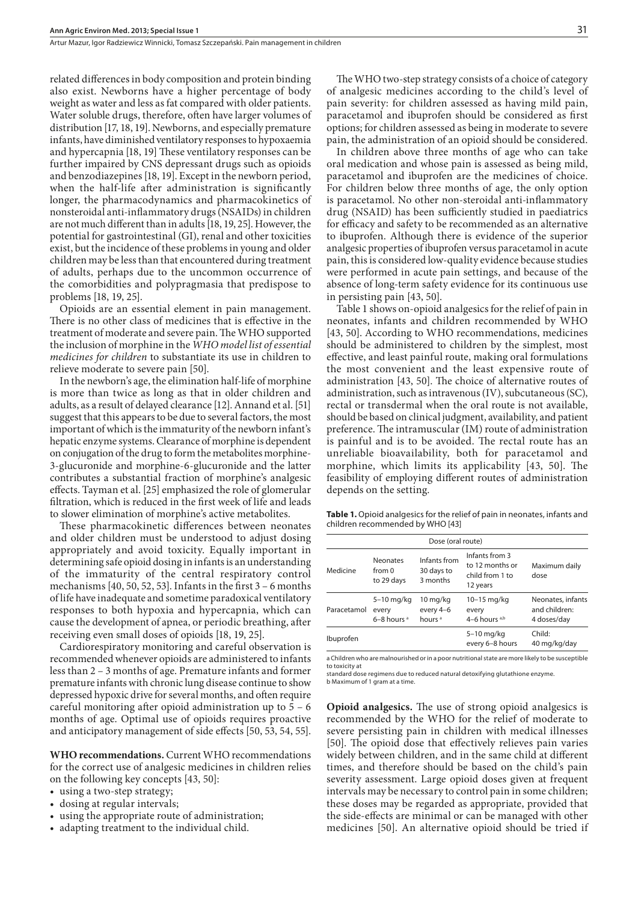related differences in body composition and protein binding also exist. Newborns have a higher percentage of body weight as water and less as fat compared with older patients. Water soluble drugs, therefore, often have larger volumes of distribution [17, 18, 19]. Newborns, and especially premature infants, have diminished ventilatory responses to hypoxaemia and hypercapnia [18, 19] These ventilatory responses can be further impaired by CNS depressant drugs such as opioids and benzodiazepines [18, 19]. Except in the newborn period, when the half-life after administration is significantly longer, the pharmacodynamics and pharmacokinetics of nonsteroidal anti-inflammatory drugs (NSAIDs) in children are not much different than in adults [18, 19, 25]. However, the potential for gastrointestinal (GI), renal and other toxicities exist, but the incidence of these problems in young and older children may be less than that encountered during treatment of adults, perhaps due to the uncommon occurrence of the comorbidities and polypragmasia that predispose to problems [18, 19, 25].

Opioids are an essential element in pain management. There is no other class of medicines that is effective in the treatment of moderate and severe pain. The WHO supported the inclusion of morphine in the *WHO model list of essential medicines for children* to substantiate its use in children to relieve moderate to severe pain [50].

In the newborn's age, the elimination half-life of morphine is more than twice as long as that in older children and adults, as a result of delayed clearance [12]. Annand et al. [51] suggest that this appears to be due to several factors, the most important of which is the immaturity of the newborn infant's hepatic enzyme systems. Clearance of morphine is dependent on conjugation of the drug to form the metabolites morphine-3-glucuronide and morphine-6-glucuronide and the latter contributes a substantial fraction of morphine's analgesic effects. Tayman et al. [25] emphasized the role of glomerular filtration, which is reduced in the first week of life and leads to slower elimination of morphine's active metabolites.

These pharmacokinetic differences between neonates and older children must be understood to adjust dosing appropriately and avoid toxicity. Equally important in determining safe opioid dosing in infants is an understanding of the immaturity of the central respiratory control mechanisms [40, 50, 52, 53]. Infants in the first 3 – 6 months of life have inadequate and sometime paradoxical ventilatory responses to both hypoxia and hypercapnia, which can cause the development of apnea, or periodic breathing, after receiving even small doses of opioids [18, 19, 25].

Cardiorespiratory monitoring and careful observation is recommended whenever opioids are administered to infants less than 2 – 3 months of age. Premature infants and former premature infants with chronic lung disease continue to show depressed hypoxic drive for several months, and often require careful monitoring after opioid administration up to 5 – 6 months of age. Optimal use of opioids requires proactive and anticipatory management of side effects [50, 53, 54, 55].

**WHO recommendations***.* Current WHO recommendations for the correct use of analgesic medicines in children relies on the following key concepts [43, 50]:

- using a two-step strategy;
- dosing at regular intervals;
- • using the appropriate route of administration;
- adapting treatment to the individual child.

The WHO two-step strategy consists of a choice of category of analgesic medicines according to the child's level of pain severity: for children assessed as having mild pain, paracetamol and ibuprofen should be considered as first options; for children assessed as being in moderate to severe pain, the administration of an opioid should be considered.

In children above three months of age who can take oral medication and whose pain is assessed as being mild, paracetamol and ibuprofen are the medicines of choice. For children below three months of age, the only option is paracetamol. No other non-steroidal anti-inflammatory drug (NSAID) has been sufficiently studied in paediatrics for efficacy and safety to be recommended as an alternative to ibuprofen. Although there is evidence of the superior analgesic properties of ibuprofen versus paracetamol in acute pain, this is considered low-quality evidence because studies were performed in acute pain settings, and because of the absence of long-term safety evidence for its continuous use in persisting pain [43, 50].

Table 1 shows on-opioid analgesics for the relief of pain in neonates, infants and children recommended by WHO [43, 50]. According to WHO recommendations, medicines should be administered to children by the simplest, most effective, and least painful route, making oral formulations the most convenient and the least expensive route of administration [43, 50]. The choice of alternative routes of administration, such as intravenous (IV), subcutaneous (SC), rectal or transdermal when the oral route is not available, should be based on clinical judgment, availability, and patient preference. The intramuscular (IM) route of administration is painful and is to be avoided. The rectal route has an unreliable bioavailability, both for paracetamol and morphine, which limits its applicability [43, 50]. The feasibility of employing different routes of administration depends on the setting.

Table 1. Opioid analgesics for the relief of pain in neonates, infants and children recommended by WHO [43]

| Dose (oral route) |                                                   |                                                          |                                                                  |                                                   |  |  |
|-------------------|---------------------------------------------------|----------------------------------------------------------|------------------------------------------------------------------|---------------------------------------------------|--|--|
| Medicine          | <b>Neonates</b><br>from 0<br>to 29 days           | Infants from<br>30 days to<br>3 months                   | Infants from 3<br>to 12 months or<br>child from 1 to<br>12 years | Maximum daily<br>dose                             |  |  |
| Paracetamol       | $5-10$ mg/kg<br>every<br>$6-8$ hours <sup>a</sup> | $10 \,\mathrm{mg/kg}$<br>every 4-6<br>hours <sup>a</sup> | 10-15 mg/kg<br>every<br>4–6 hours $a,b$                          | Neonates, infants<br>and children:<br>4 doses/day |  |  |
| Ibuprofen         |                                                   |                                                          | $5-10$ mg/kg<br>every 6-8 hours                                  | Child:<br>40 mg/kg/day                            |  |  |

a Children who are malnourished or in a poor nutritional state are more likely to be susceptible to toxicity at

standard dose regimens due to reduced natural detoxifying glutathione enzyme. b Maximum of 1 gram at a time.

**Opioid analgesics.** The use of strong opioid analgesics is recommended by the WHO for the relief of moderate to severe persisting pain in children with medical illnesses [50]. The opioid dose that effectively relieves pain varies widely between children, and in the same child at different times, and therefore should be based on the child's pain severity assessment. Large opioid doses given at frequent intervals may be necessary to control pain in some children; these doses may be regarded as appropriate, provided that the side-effects are minimal or can be managed with other medicines [50]. An alternative opioid should be tried if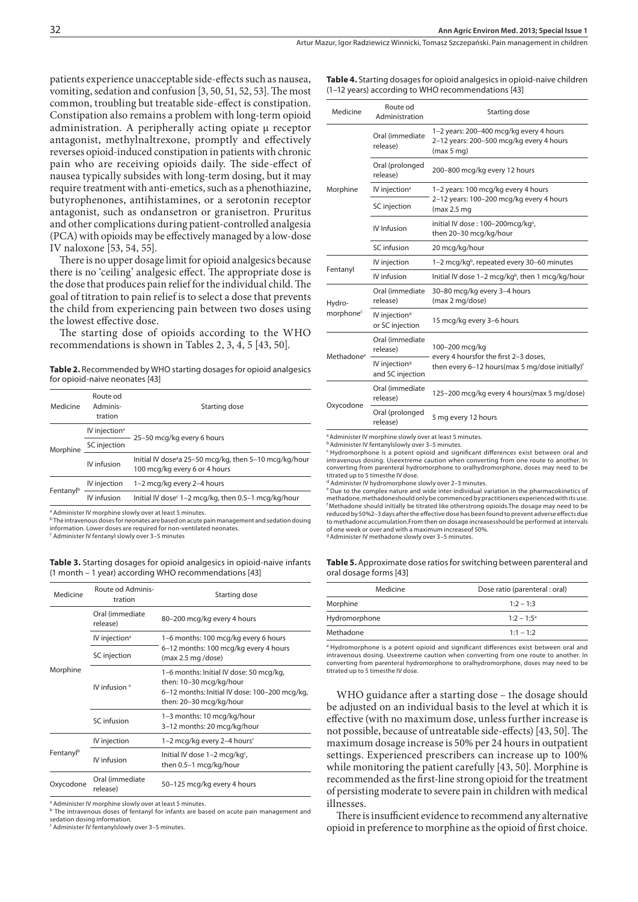patients experience unacceptable side-effects such as nausea, vomiting, sedation and confusion [3, 50, 51, 52, 53]. The most common, troubling but treatable side-effect is constipation. Constipation also remains a problem with long-term opioid administration. A peripherally acting opiate µ receptor antagonist, methylnaltrexone, promptly and effectively reverses opioid-induced constipation in patients with chronic pain who are receiving opioids daily. The side-effect of nausea typically subsides with long-term dosing, but it may require treatment with anti-emetics, such as a phenothiazine, butyrophenones, antihistamines, or a serotonin receptor antagonist, such as ondansetron or granisetron. Pruritus and other complications during patient-controlled analgesia (PCA) with opioids may be effectively managed by a low-dose IV naloxone [53, 54, 55].

There is no upper dosage limit for opioid analgesics because there is no 'ceiling' analgesic effect. The appropriate dose is the dose that produces pain relief for the individual child. The goal of titration to pain relief is to select a dose that prevents the child from experiencing pain between two doses using the lowest effective dose.

The starting dose of opioids according to the WHO recommendations is shown in Tables 2, 3, 4, 5 [43, 50].

**Table 2.** Recommended by WHO starting dosages for opioid analgesics for opioid-naive neonates [43]

| Medicine              | Route od<br>Adminis-<br>tration | Starting dose                                                                                     |  |
|-----------------------|---------------------------------|---------------------------------------------------------------------------------------------------|--|
| Morphine              | IV injection <sup>a</sup>       | 25-50 mcg/kg every 6 hours                                                                        |  |
|                       | SC injection                    |                                                                                                   |  |
|                       | IV infusion                     | Initial IV dose <sup>a</sup> 25–50 mcg/kg, then 5–10 mcg/kg/hour<br>100 mcg/kg every 6 or 4 hours |  |
| Fentanyl <sup>b</sup> | IV injection                    | 1-2 mcg/kg every 2-4 hours                                                                        |  |
|                       | IV infusion                     | Initial IV dose <sup>c</sup> 1–2 mcg/kg, then 0.5–1 mcg/kg/hour                                   |  |
|                       |                                 |                                                                                                   |  |

a Administer IV morphine slowly over at least 5 minutes.

<sup>b</sup> The intravenous doses for neonates are based on acute pain management and sedation dosing information. Lower doses are required for non-ventilated neonates. c Administer IV fentanyl slowly over 3–5 minutes

**Table 3.** Starting dosages for opioid analgesics in opioid-naive infants (1 month – 1 year) according WHO recommendations [43]

| Medicine              | Route od Adminis-<br>tration | Starting dose                                                                                                                                  |
|-----------------------|------------------------------|------------------------------------------------------------------------------------------------------------------------------------------------|
| Morphine              | Oral (immediate<br>release)  | 80-200 mcg/kg every 4 hours                                                                                                                    |
|                       | IV injection <sup>a</sup>    | 1-6 months: 100 mcg/kg every 6 hours<br>6-12 months: 100 mcg/kg every 4 hours<br>(max 2.5 mg/dose)                                             |
|                       | SC injection                 |                                                                                                                                                |
|                       | IV infusion <sup>a</sup>     | 1-6 months: Initial IV dose: 50 mcg/kg,<br>then: 10-30 mcg/kg/hour<br>6-12 months: Initial IV dose: 100-200 mcg/kg,<br>then: 20–30 mcg/kg/hour |
|                       | SC infusion                  | 1-3 months: 10 mcg/kg/hour<br>3-12 months: 20 mcg/kg/hour                                                                                      |
| Fentanyl <sup>b</sup> | IV injection                 | 1-2 mcg/kg every 2-4 hours <sup>c</sup>                                                                                                        |
|                       | IV infusion                  | Initial IV dose $1-2$ mcg/kg <sup>c</sup> ,<br>then 0.5-1 mcg/kg/hour                                                                          |
| Oxycodone             | Oral (immediate<br>release)  | 50-125 mcg/kg every 4 hours                                                                                                                    |

a Administer IV morphine slowly over at least 5 minutes.

**b** The intravenous doses of fentanyl for infants are based on acute pain management and sedation dosing information.

c Administer IV fentanylslowly over 3–5 minutes.

**Table 4.** Starting dosages for opioid analgesics in opioid-naive children (1–12 years) according to WHO recommendations [43]

| Medicine                        | Route od<br>Administration                    | Starting dose                                                                                                          |  |
|---------------------------------|-----------------------------------------------|------------------------------------------------------------------------------------------------------------------------|--|
| Morphine                        | Oral (immediate<br>release)                   | 1-2 years: 200-400 mcg/kg every 4 hours<br>2-12 years: 200-500 mcg/kg every 4 hours<br>(max 5 mg)                      |  |
|                                 | Oral (prolonged<br>release)                   | 200-800 mcg/kg every 12 hours                                                                                          |  |
|                                 | IV injection <sup>a</sup>                     | 1-2 years: 100 mcg/kg every 4 hours                                                                                    |  |
|                                 | SC injection                                  | 2-12 years: 100-200 mcg/kg every 4 hours<br>(max 2.5 mg)                                                               |  |
|                                 | IV Infusion                                   | initial IV dose: 100-200mcg/kg <sup>a</sup> ,<br>then 20-30 mcg/kg/hour                                                |  |
|                                 | SC infusion                                   | 20 mcg/kg/hour                                                                                                         |  |
| Fentanyl                        | IV injection                                  | 1-2 mcg/kg <sup>b</sup> , repeated every 30-60 minutes                                                                 |  |
|                                 | IV infusion                                   | Initial IV dose 1-2 mcg/kg <sup>b</sup> , then 1 mcg/kg/hour                                                           |  |
| Hydro-<br>morphone <sup>c</sup> | Oral (immediate<br>release)                   | 30-80 mcg/kg every 3-4 hours<br>(max 2 mg/dose)                                                                        |  |
|                                 | IV injection <sup>d</sup><br>or SC injection  | 15 mcg/kg every 3-6 hours                                                                                              |  |
| Methadone <sup>e</sup>          | Oral (immediate<br>release)                   | 100-200 mcg/kg<br>every 4 hoursfor the first 2-3 doses,<br>then every 6-12 hours(max 5 mg/dose initially) <sup>f</sup> |  |
|                                 | IV injection <sup>9</sup><br>and SC injection |                                                                                                                        |  |
| Oxycodone                       | Oral (immediate<br>release)                   | 125–200 mcg/kg every 4 hours(max 5 mg/dose)                                                                            |  |
|                                 | Oral (prolonged<br>release)                   | 5 mg every 12 hours                                                                                                    |  |

<sup>a</sup> Administer IV morphine slowly over at least 5 minutes.

b Administer IV fentanylslowly over 3–5 minutes.

c Hydromorphone is a potent opioid and significant differences exist between oral and intravenous dosing. Useextreme caution when converting from one route to another. In converting from parenteral hydromorphone to oralhydromorphone, doses may need to be titrated up to 5 timesthe IV dose.

d Administer IV hydromorphone slowly over 2–3 minutes.

e Due to the complex nature and wide inter-individual variation in the pharmacokinetics of methadone, methadoneshould only be commenced by practitioners experienced with its use. f Methadone should initially be titrated like otherstrong opioids.The dosage may need to be reduced by 50%2–3 days after the effective dose has been found to prevent adverse effects due to methadone accumulation.From then on dosage increasesshould be performed at intervals of one week or over and with a maximum increaseof 50%. g Administer IV methadone slowly over 3–5 minutes.

**Table 5.** Approximate dose ratios for switching between parenteral and oral dosage forms [43]

| Medicine      | Dose ratio (parenteral: oral) |
|---------------|-------------------------------|
| Morphine      | $1:2 - 1:3$                   |
| Hydromorphone | $1.2 - 1.5^{\circ}$           |
| Methadone     | $1:1 - 1:2$                   |

<sup>a</sup> Hydromorphone is a potent opioid and significant differences exist between oral and intravenous dosing. Useextreme caution when converting from one route to another. In converting from parenteral hydromorphone to oralhydromorphone, doses may need to be titrated up to 5 timesthe IV dose.

WHO guidance after a starting dose – the dosage should be adjusted on an individual basis to the level at which it is effective (with no maximum dose, unless further increase is not possible, because of untreatable side-effects) [43, 50]. The maximum dosage increase is 50% per 24 hours in outpatient settings. Experienced prescribers can increase up to 100% while monitoring the patient carefully [43, 50]. Morphine is recommended as the first-line strong opioid for the treatment of persisting moderate to severe pain in children with medical illnesses.

There is insufficient evidence to recommend any alternative opioid in preference to morphine as the opioid of first choice.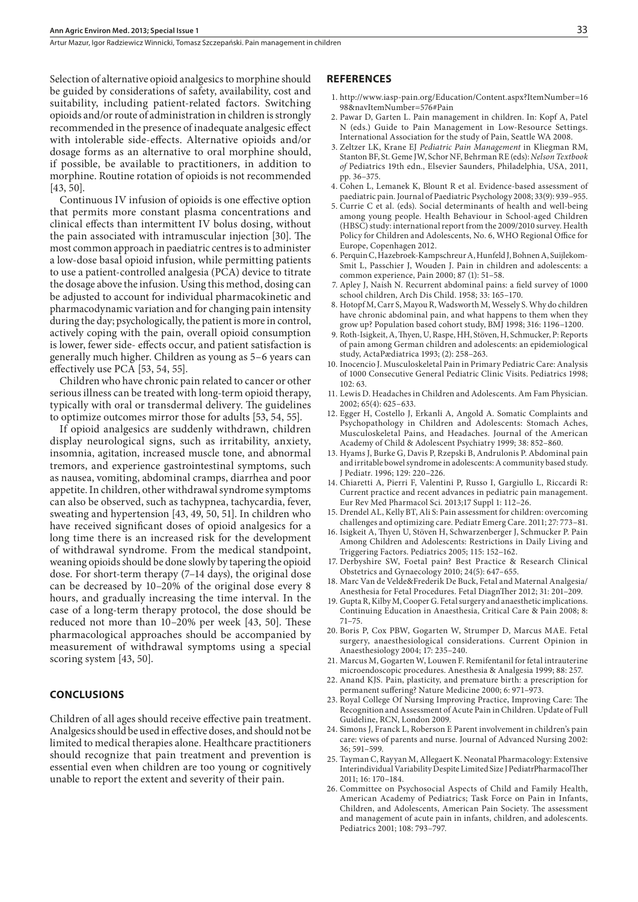Artur Mazur, Igor Radziewicz Winnicki, Tomasz Szczepański . Pain management in children

Selection of alternative opioid analgesics to morphine should be guided by considerations of safety, availability, cost and suitability, including patient-related factors. Switching opioids and/or route of administration in children is strongly recommended in the presence of inadequate analgesic effect with intolerable side-effects. Alternative opioids and/or dosage forms as an alternative to oral morphine should, if possible, be available to practitioners, in addition to morphine. Routine rotation of opioids is not recommended [43, 50].

Continuous IV infusion of opioids is one effective option that permits more constant plasma concentrations and clinical effects than intermittent IV bolus dosing, without the pain associated with intramuscular injection [30]. The most common approach in paediatric centres is to administer a low-dose basal opioid infusion, while permitting patients to use a patient-controlled analgesia (PCA) device to titrate the dosage above the infusion. Using this method, dosing can be adjusted to account for individual pharmacokinetic and pharmacodynamic variation and for changing pain intensity during the day; psychologically, the patient is more in control, actively coping with the pain, overall opioid consumption is lower, fewer side- effects occur, and patient satisfaction is generally much higher. Children as young as 5–6 years can effectively use PCA [53, 54, 55].

Children who have chronic pain related to cancer or other serious illness can be treated with long-term opioid therapy, typically with oral or transdermal delivery. The guidelines to optimize outcomes mirror those for adults [53, 54, 55].

If opioid analgesics are suddenly withdrawn, children display neurological signs, such as irritability, anxiety, insomnia, agitation, increased muscle tone, and abnormal tremors, and experience gastrointestinal symptoms, such as nausea, vomiting, abdominal cramps, diarrhea and poor appetite. In children, other withdrawal syndrome symptoms can also be observed, such as tachypnea, tachycardia, fever, sweating and hypertension [43, 49, 50, 51]. In children who have received significant doses of opioid analgesics for a long time there is an increased risk for the development of withdrawal syndrome. From the medical standpoint, weaning opioids should be done slowly by tapering the opioid dose. For short-term therapy (7–14 days), the original dose can be decreased by 10–20% of the original dose every 8 hours, and gradually increasing the time interval. In the case of a long-term therapy protocol, the dose should be reduced not more than 10–20% per week [43, 50]. These pharmacological approaches should be accompanied by measurement of withdrawal symptoms using a special scoring system [43, 50].

#### **CONCLUSIONS**

Children of all ages should receive effective pain treatment. Analgesics should be used in effective doses, and should not be limited to medical therapies alone. Healthcare practitioners should recognize that pain treatment and prevention is essential even when children are too young or cognitively unable to report the extent and severity of their pain.

#### **REFERENCES**

- 1. http://www.iasp-pain.org/Education/Content.aspx?ItemNumber=16 98&navItemNumber=576#Pain
- 2. Pawar D, Garten L. Pain management in children. In: Kopf A, Patel N (eds.) Guide to Pain Management in Low-Resource Settings. International Association for the study of Pain, Seattle WA 2008.
- 3. Zeltzer LK, Krane EJ *Pediatric Pain Management* in Kliegman RM, Stanton BF, St. Geme JW, Schor NF, Behrman RE (eds): *Nelson Textbook of* Pediatrics 19th edn., Elsevier Saunders, Philadelphia, USA, 2011, pp. 36–375.
- 4. Cohen L, Lemanek K, Blount R et al. Evidence-based assessment of paediatric pain. Journal of Paediatric Psychology 2008; 33(9): 939–955.
- 5. Currie C et al. (eds). Social determinants of health and well-being among young people. Health Behaviour in School-aged Children (HBSC) study: international report from the 2009/2010 survey. Health Policy for Children and Adolescents, No. 6, WHO Regional Office for Europe, Copenhagen 2012.
- 6. Perquin C, Hazebroek-Kampschreur A, Hunfeld J, Bohnen A, Suijlekom-Smit L, Passchier J, Wouden J. Pain in children and adolescents: a common experience, Pain 2000; 87 (1): 51–58.
- 7. Apley J, Naish N. Recurrent abdominal pains: a field survey of 1000 school children, Arch Dis Child. 1958; 33: 165–170.
- 8. Hotopf M, Carr S, Mayou R, Wadsworth M, Wessely S. Why do children have chronic abdominal pain, and what happens to them when they grow up? Population based cohort study, BMJ 1998; 316: 1196–1200.
- 9. Roth-Isigkeit, A, Thyen, U, Raspe, HH, Stöven, H, Schmucker, P: Reports of pain among German children and adolescents: an epidemiological study, ActaPædiatrica 1993; (2): 258–263.
- 10. Inocencio J. Musculoskeletal Pain in Primary Pediatric Care: Analysis of 1000 Consecutive General Pediatric Clinic Visits. Pediatrics 1998;  $102.63$
- 11. Lewis D. Headaches in Children and Adolescents. Am Fam Physician. 2002; 65(4): 625–633.
- 12. Egger H, Costello J, Erkanli A, Angold A. Somatic Complaints and Psychopathology in Children and Adolescents: Stomach Aches, Musculoskeletal Pains, and Headaches. Journal of the American Academy of Child & Adolescent Psychiatry 1999; 38: 852–860.
- 13. Hyams J, Burke G, Davis P, Rzepski B, Andrulonis P. Abdominal pain and irritable bowel syndrome in adolescents: A community based study. J Pediatr. 1996; 129: 220–226.
- 14. Chiaretti A, Pierri F, Valentini P, Russo I, Gargiullo L, Riccardi R: Current practice and recent advances in pediatric pain management. Eur Rev Med Pharmacol Sci. 2013;17 Suppl 1: 112–26.
- 15. Drendel AL, Kelly BT, Ali S: Pain assessment for children: overcoming challenges and optimizing care. Pediatr Emerg Care. 2011; 27: 773–81.
- 16. Isigkeit A, Thyen U, Stöven H, Schwarzenberger J, Schmucker P. Pain Among Children and Adolescents: Restrictions in Daily Living and Triggering Factors. Pediatrics 2005; 115: 152–162.
- 17. Derbyshire SW, Foetal pain? Best Practice & Research Clinical Obstetrics and Gynaecology 2010; 24(5): 647–655.
- 18. Marc Van de Velde&Frederik De Buck, Fetal and Maternal Analgesia/ Anesthesia for Fetal Procedures. Fetal DiagnTher 2012; 31: 201–209.
- 19. Gupta R, Kilby M, Cooper G. Fetal surgery and anaesthetic implications. Continuing Education in Anaesthesia, Critical Care & Pain 2008; 8: 71–75.
- 20. Boris P, Cox PBW, Gogarten W, Strumper D, Marcus MAE. Fetal surgery, anaesthesiological considerations. Current Opinion in Anaesthesiology 2004; 17: 235–240.
- 21. Marcus M, Gogarten W, Louwen F. Remifentanil for fetal intrauterine microendoscopic procedures. Anesthesia & Analgesia 1999; 88: 257.
- 22. Anand KJS. Pain, plasticity, and premature birth: a prescription for permanent suffering? Nature Medicine 2000; 6: 971–973.
- 23. Royal College Of Nursing Improving Practice, Improving Care: The Recognition and Assessment of Acute Pain in Children. Update of Full Guideline, RCN, London 2009.
- 24. Simons J, Franck L, Roberson E Parent involvement in children's pain care: views of parents and nurse. Journal of Advanced Nursing 2002: 36; 591–599.
- 25. Tayman C, Rayyan M, Allegaert K. Neonatal Pharmacology: Extensive Interindividual Variability Despite Limited Size J PediatrPharmacolTher 2011; 16: 170–184.
- 26. Committee on Psychosocial Aspects of Child and Family Health, American Academy of Pediatrics; Task Force on Pain in Infants, Children, and Adolescents, American Pain Society. The assessment and management of acute pain in infants, children, and adolescents. Pediatrics 2001; 108: 793–797.